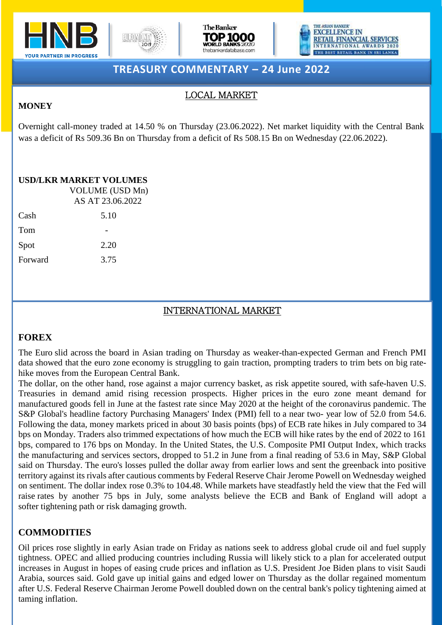







# **TREASURY COMMENTARY – 24 June 2022**

### LOCAL MARKET

#### **MONEY**

Overnight call-money traded at 14.50 % on Thursday (23.06.2022). Net market liquidity with the Central Bank was a deficit of Rs 509.36 Bn on Thursday from a deficit of Rs 508.15 Bn on Wednesday (22.06.2022).

# **USD/LKR MARKET VOLUMES**

|         | VOLUME (USD Mn)<br>AS AT 23.06.2022 |  |
|---------|-------------------------------------|--|
| Cash    | 5.10                                |  |
| Tom     |                                     |  |
| Spot    | 2.20                                |  |
| Forward | 3.75                                |  |

## INTERNATIONAL MARKET

#### **FOREX**

The Euro slid across the board in Asian trading on Thursday as weaker-than-expected German and French PMI data showed that the euro zone economy is struggling to gain traction, prompting traders to trim bets on big ratehike moves from the European Central Bank.

The dollar, on the other hand, rose against a major currency basket, as risk appetite soured, with safe-haven U.S. Treasuries in demand amid rising recession prospects. Higher prices in the euro zone meant demand for manufactured goods fell in June at the fastest rate since May 2020 at the height of the coronavirus pandemic. The S&P Global's headline factory Purchasing Managers' Index (PMI) fell to a near two- year low of 52.0 from 54.6. Following the data, money markets priced in about 30 basis points (bps) of ECB rate hikes in July compared to 34 bps on Monday. Traders also trimmed expectations of how much the ECB will hike rates by the end of 2022 to 161 bps, compared to 176 bps on Monday. In the United States, the U.S. Composite PMI Output Index, which tracks the manufacturing and services sectors, dropped to 51.2 in June from a final reading of 53.6 in May, S&P Global said on Thursday. The euro's losses pulled the dollar away from earlier lows and sent the greenback into positive territory against its rivals after cautious comments by Federal Reserve Chair Jerome Powell on Wednesday weighed on sentiment. The dollar index rose 0.3% to 104.48. While markets have steadfastly held the view that the Fed will raise rates by another 75 bps in July, some analysts believe the ECB and Bank of England will adopt a softer tightening path or risk damaging growth.

#### **COMMODITIES**

after U.S. Federal Reserve Chairman Jerome Powell doubled down on the central bank's policy tightening aimed at Oil prices rose slightly in early Asian trade on Friday as nations seek to address global crude oil and fuel supply tightness. OPEC and allied producing countries including Russia will likely stick to a plan for accelerated output increases in August in hopes of easing crude prices and inflation as U.S. President Joe Biden plans to visit Saudi Arabia, sources said. Gold gave up initial gains and edged lower on Thursday as the dollar regained momentum taming inflation.